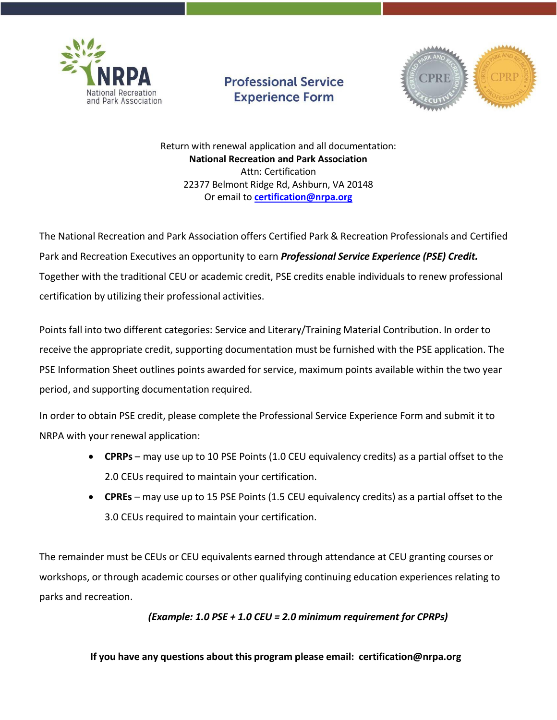

# **Professional Service Experience Form**



Return with renewal application and all documentation: **National Recreation and Park Association** Attn: Certification 22377 Belmont Ridge Rd, Ashburn, VA 20148 Or email to **[certification@nrpa.org](mailto:certification@nrpa.org)**

The National Recreation and Park Association offers Certified Park & Recreation Professionals and Certified Park and Recreation Executives an opportunity to earn *Professional Service Experience (PSE) Credit.* Together with the traditional CEU or academic credit, PSE credits enable individuals to renew professional certification by utilizing their professional activities.

Points fall into two different categories: Service and Literary/Training Material Contribution. In order to receive the appropriate credit, supporting documentation must be furnished with the PSE application. The PSE Information Sheet outlines points awarded for service, maximum points available within the two year period, and supporting documentation required.

In order to obtain PSE credit, please complete the Professional Service Experience Form and submit it to NRPA with your renewal application:

- **CPRPs** may use up to 10 PSE Points (1.0 CEU equivalency credits) as a partial offset to the 2.0 CEUs required to maintain your certification.
- **CPREs**  may use up to 15 PSE Points (1.5 CEU equivalency credits) as a partial offset to the 3.0 CEUs required to maintain your certification.

The remainder must be CEUs or CEU equivalents earned through attendance at CEU granting courses or workshops, or through academic courses or other qualifying continuing education experiences relating to parks and recreation.

### *(Example: 1.0 PSE + 1.0 CEU = 2.0 minimum requirement for CPRPs)*

### **If you have any questions about this program please email: [certification@nrpa.org](mailto:certification@nrpa.org)**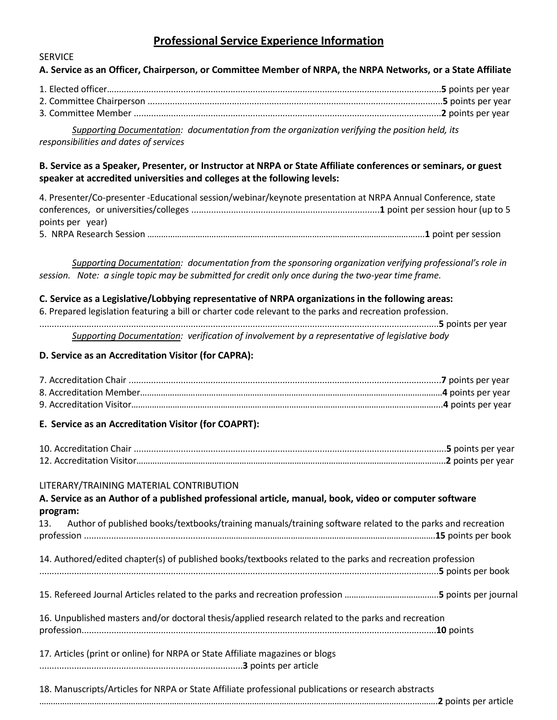### **Professional Service Experience Information**

### SERVICE

**A. Service as an Officer, Chairperson, or Committee Member of NRPA, the NRPA Networks, or a State Affiliate**

1. Elected officer…....................................................................................................................................**5** points per year 2. Committee Chairperson .......................................................................................................................**5** points per year 3*.* Committee Member ............................................................................................................................**2** points per year

*Supporting Documentation: documentation from the organization verifying the position held, its responsibilities and dates of services*

#### **B. Service as a Speaker, Presenter, or Instructor at NRPA or State Affiliate conferences or seminars, or guest speaker at accredited universities and colleges at the following levels:**

| 4. Presenter/Co-presenter -Educational session/webinar/keynote presentation at NRPA Annual Conference, state |  |
|--------------------------------------------------------------------------------------------------------------|--|
|                                                                                                              |  |
| points per year)                                                                                             |  |
|                                                                                                              |  |

*Supporting Documentation: documentation from the sponsoring organization verifying professional's role in session. Note: a single topic may be submitted for credit only once during the two-year time frame.*

#### **C. Service as a Legislative/Lobbying representative of NRPA organizations in the following areas:**

6. Prepared legislation featuring a bill or charter code relevant to the parks and recreation profession. .................................................................................................................................................................**5** points per year *Supporting Documentation: verification of involvement by a representative of legislative body*

### **D. Service as an Accreditation Visitor (for CAPRA):**

| E. Service as an Accreditation Visitor (for COAPRT):                                                                                                         |  |
|--------------------------------------------------------------------------------------------------------------------------------------------------------------|--|
|                                                                                                                                                              |  |
| LITERARY/TRAINING MATERIAL CONTRIBUTION<br>A. Service as an Author of a published professional article, manual, book, video or computer software<br>program: |  |
| Author of published books/textbooks/training manuals/training software related to the parks and recreation<br>13.                                            |  |
| 14. Authored/edited chapter(s) of published books/textbooks related to the parks and recreation profession                                                   |  |
|                                                                                                                                                              |  |
| 16. Unpublished masters and/or doctoral thesis/applied research related to the parks and recreation                                                          |  |
| 17. Articles (print or online) for NRPA or State Affiliate magazines or blogs                                                                                |  |
| 18. Manuscripts/Articles for NRPA or State Affiliate professional publications or research abstracts                                                         |  |

………………………………………………………………………………………………………………………………………………..……….**2** points per article